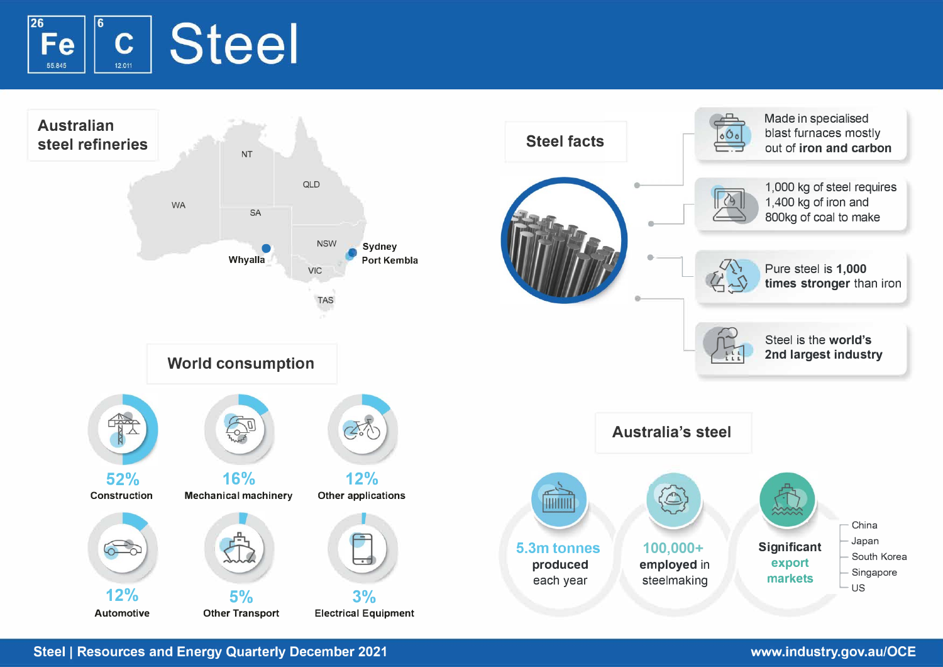



**Steel** I **Resources and Energy Quarterly December 2021 www.industry.gov.au/OCE**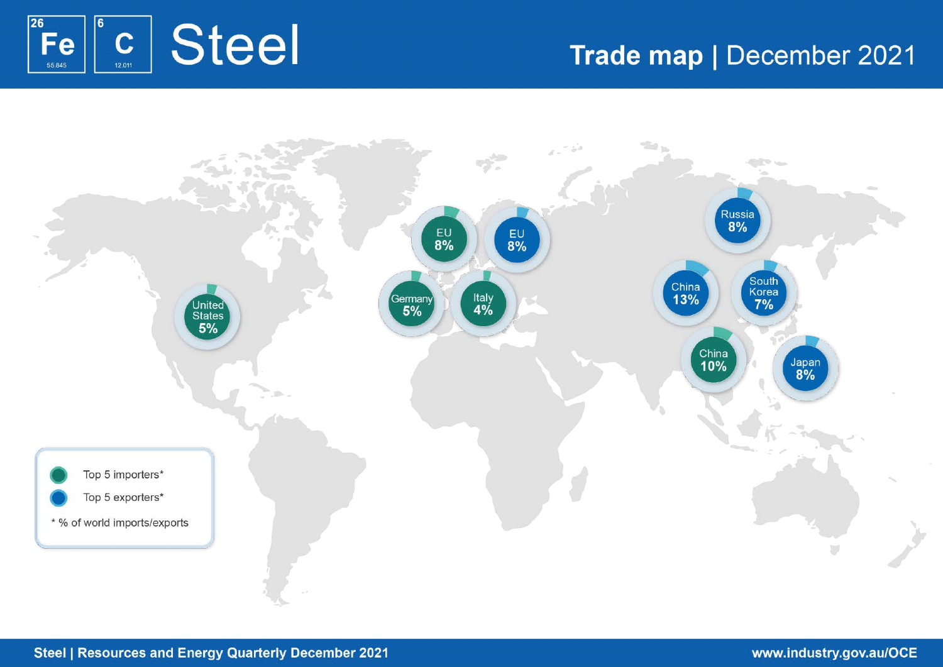

# Trade map | December 2021

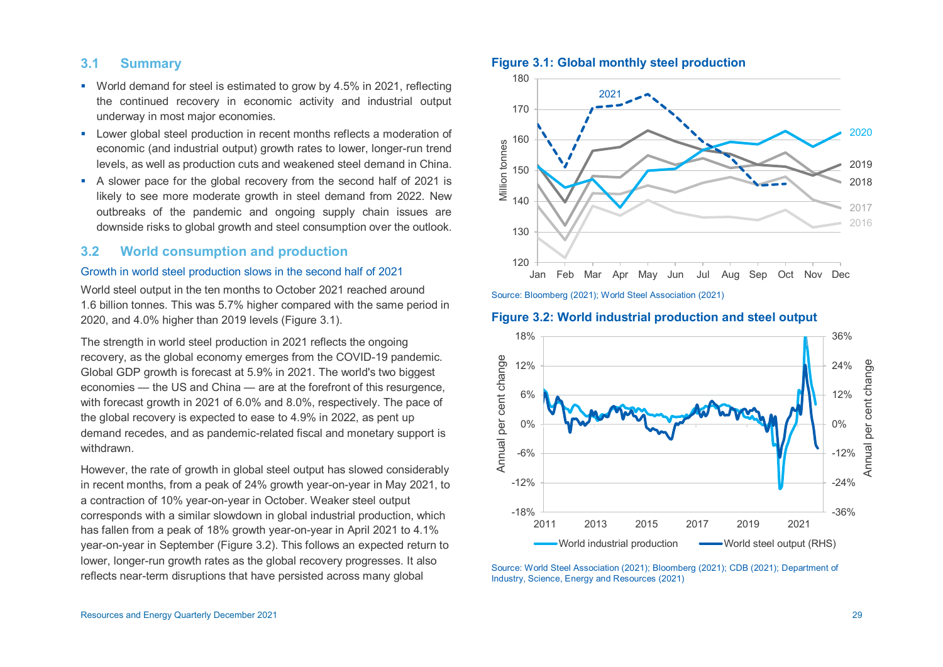# **3.1 Summary**

- World demand for steel is estimated to grow by 4.5% in 2021, reflecting the continued recovery in economic activity and industrial output underway in most major economies.
- **EXECTE 20 Lower global steel production in recent months reflects a moderation of** economic (and industrial output) growth rates to lower, longer-run trend levels, as well as production cuts and weakened steel demand in China.
- A slower pace for the global recovery from the second half of 2021 is likely to see more moderate growth in steel demand from 2022. New outbreaks of the pandemic and ongoing supply chain issues are downside risks to global growth and steel consumption over the outlook.

# **3.2 World consumption and production**

#### Growth in world steel production slows in the second half of 2021

World steel output in the ten months to October 2021 reached around 1.6 billion tonnes. This was 5.7% higher compared with the same period in 2020, and 4.0% higher than 2019 levels (Figure 3.1).

The strength in world steel production in 2021 reflects the ongoing recovery, as the global economy emerges from the COVID-19 pandemic. Global GDP growth is forecast at 5.9% in 2021. The world's two biggest economies — the US and China — are at the forefront of this resurgence, with forecast growth in 2021 of 6.0% and 8.0%, respectively. The pace of the global recovery is expected to ease to 4.9% in 2022, as pent up demand recedes, and as pandemic-related fiscal and monetary support is withdrawn.

However, the rate of growth in global steel output has slowed considerably in recent months, from a peak of 24% growth year-on-year in May 2021, to a contraction of 10% year-on-year in October. Weaker steel output corresponds with a similar slowdown in global industrial production, which has fallen from a peak of 18% growth year-on-year in April 2021 to 4.1% year-on-year in September (Figure 3.2). This follows an expected return to lower, longer-run growth rates as the global recovery progresses. It also reflects near-term disruptions that have persisted across many global

# **Figure 3.1: Global monthly steel production**



Source: Bloomberg (2021); World Steel Association (2021)

# **Figure 3.2: World industrial production and steel output**



Source: World Steel Association (2021); Bloomberg (2021); CDB (2021); Department of Industry, Science, Energy and Resources (2021)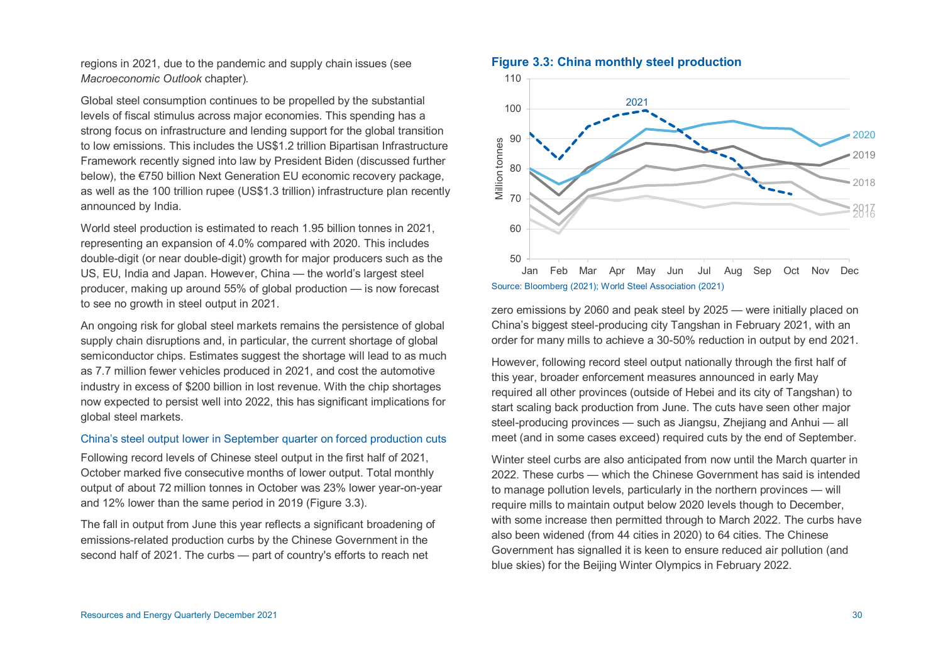regions in 2021, due to the pandemic and supply chain issues (see *Macroeconomic Outlook* chapter)*.*

Global steel consumption continues to be propelled by the substantial levels of fiscal stimulus across major economies. This spending has a strong focus on infrastructure and lending support for the global transition to low emissions. This includes the US\$1.2 trillion Bipartisan Infrastructure Framework recently signed into law by President Biden (discussed further below), the €750 billion Next Generation EU economic recovery package, as well as the 100 trillion rupee (US\$1.3 trillion) infrastructure plan recently announced by India.

World steel production is estimated to reach 1.95 billion tonnes in 2021, representing an expansion of 4.0% compared with 2020. This includes double-digit (or near double-digit) growth for major producers such as the US, EU, India and Japan. However, China — the world's largest steel producer, making up around 55% of global production — is now forecast to see no growth in steel output in 2021.

An ongoing risk for global steel markets remains the persistence of global supply chain disruptions and, in particular, the current shortage of global semiconductor chips. Estimates suggest the shortage will lead to as much as 7.7 million fewer vehicles produced in 2021, and cost the automotive industry in excess of \$200 billion in lost revenue. With the chip shortages now expected to persist well into 2022, this has significant implications for global steel markets.

# China's steel output lower in September quarter on forced production cuts

Following record levels of Chinese steel output in the first half of 2021, October marked five consecutive months of lower output. Total monthly output of about 72 million tonnes in October was 23% lower year-on-year and 12% lower than the same period in 2019 (Figure 3.3).

The fall in output from June this year reflects a significant broadening of emissions-related production curbs by the Chinese Government in the second half of 2021. The curbs — part of country's efforts to reach net

#### **Figure 3.3: China monthly steel production**



zero emissions by 2060 and peak steel by 2025 — were initially placed on China's biggest steel-producing city Tangshan in February 2021, with an order for many mills to achieve a 30-50% reduction in output by end 2021.

However, following record steel output nationally through the first half of this year, broader enforcement measures announced in early May required all other provinces (outside of Hebei and its city of Tangshan) to start scaling back production from June. The cuts have seen other major steel-producing provinces — such as Jiangsu, Zhejiang and Anhui — all meet (and in some cases exceed) required cuts by the end of September.

Winter steel curbs are also anticipated from now until the March quarter in 2022. These curbs — which the Chinese Government has said is intended to manage pollution levels, particularly in the northern provinces — will require mills to maintain output below 2020 levels though to December, with some increase then permitted through to March 2022. The curbs have also been widened (from 44 cities in 2020) to 64 cities. The Chinese Government has signalled it is keen to ensure reduced air pollution (and blue skies) for the Beijing Winter Olympics in February 2022.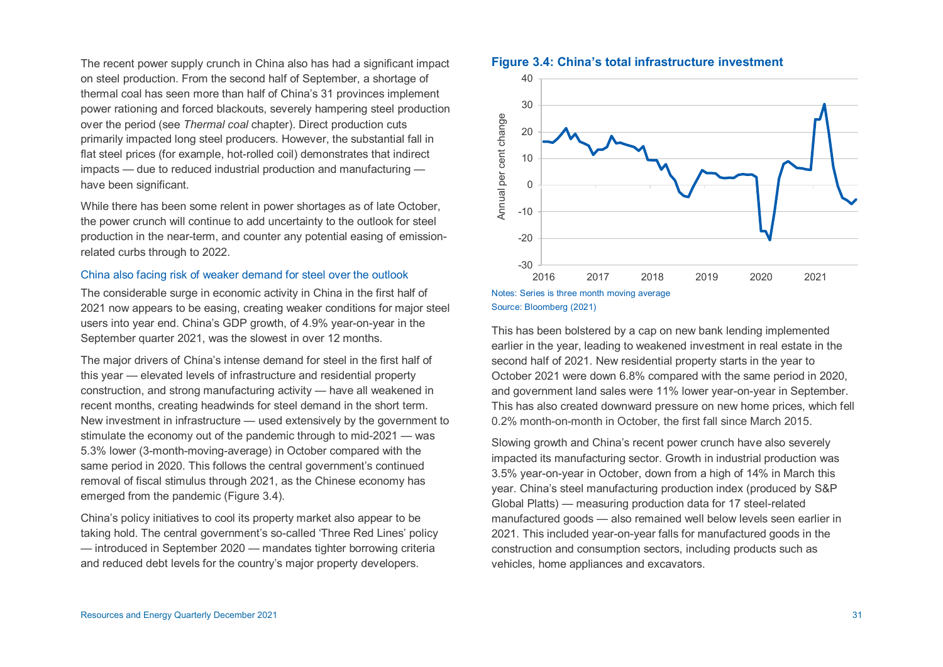The recent power supply crunch in China also has had a significant impact on steel production. From the second half of September, a shortage of thermal coal has seen more than half of China's 31 provinces implement power rationing and forced blackouts, severely hampering steel production over the period (see *Thermal coal* chapter). Direct production cuts primarily impacted long steel producers. However, the substantial fall in flat steel prices (for example, hot-rolled coil) demonstrates that indirect impacts — due to reduced industrial production and manufacturing have been significant.

While there has been some relent in power shortages as of late October, the power crunch will continue to add uncertainty to the outlook for steel production in the near-term, and counter any potential easing of emissionrelated curbs through to 2022.

# China also facing risk of weaker demand for steel over the outlook

The considerable surge in economic activity in China in the first half of 2021 now appears to be easing, creating weaker conditions for major steel users into year end. China's GDP growth, of 4.9% year-on-year in the September quarter 2021, was the slowest in over 12 months.

The major drivers of China's intense demand for steel in the first half of this year — elevated levels of infrastructure and residential property construction, and strong manufacturing activity — have all weakened in recent months, creating headwinds for steel demand in the short term. New investment in infrastructure — used extensively by the government to stimulate the economy out of the pandemic through to mid-2021 — was 5.3% lower (3-month-moving-average) in October compared with the same period in 2020. This follows the central government's continued removal of fiscal stimulus through 2021, as the Chinese economy has emerged from the pandemic (Figure 3.4).

China's policy initiatives to cool its property market also appear to be taking hold. The central government's so-called 'Three Red Lines' policy — introduced in September 2020 — mandates tighter borrowing criteria and reduced debt levels for the country's major property developers.

#### **Figure 3.4: China's total infrastructure investment**





This has been bolstered by a cap on new bank lending implemented earlier in the year, leading to weakened investment in real estate in the second half of 2021. New residential property starts in the year to October 2021 were down 6.8% compared with the same period in 2020, and government land sales were 11% lower year-on-year in September. This has also created downward pressure on new home prices, which fell 0.2% month-on-month in October, the first fall since March 2015.

Slowing growth and China's recent power crunch have also severely impacted its manufacturing sector. Growth in industrial production was 3.5% year-on-year in October, down from a high of 14% in March this year. China's steel manufacturing production index (produced by S&P Global Platts) — measuring production data for 17 steel-related manufactured goods — also remained well below levels seen earlier in 2021. This included year-on-year falls for manufactured goods in the construction and consumption sectors, including products such as vehicles, home appliances and excavators.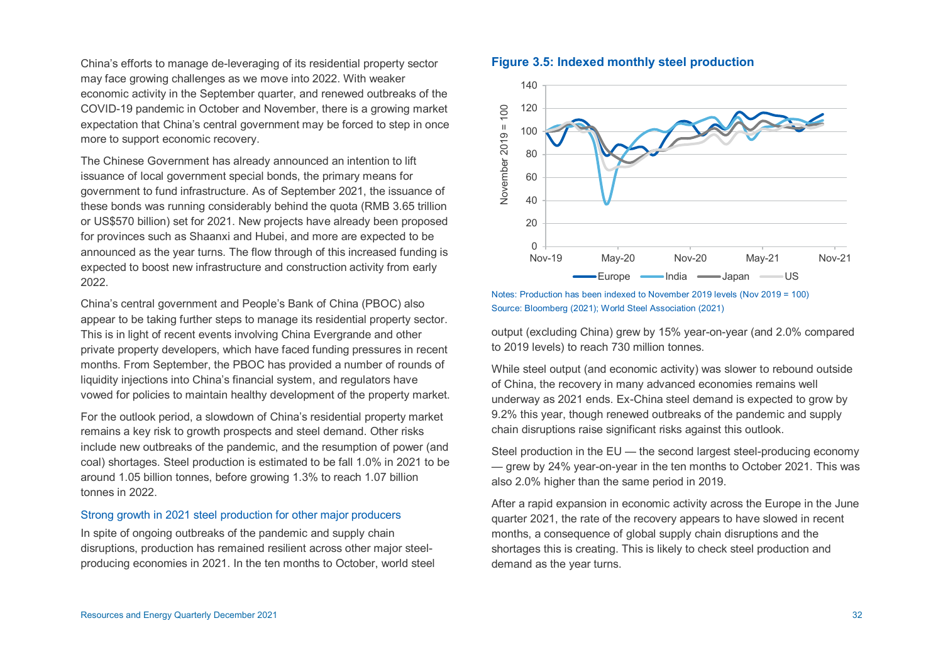China's efforts to manage de-leveraging of its residential property sector may face growing challenges as we move into 2022. With weaker economic activity in the September quarter, and renewed outbreaks of the COVID-19 pandemic in October and November, there is a growing market expectation that China's central government may be forced to step in once more to support economic recovery.

The Chinese Government has already announced an intention to lift issuance of local government special bonds, the primary means for government to fund infrastructure. As of September 2021, the issuance of these bonds was running considerably behind the quota (RMB 3.65 trillion or US\$570 billion) set for 2021. New projects have already been proposed for provinces such as Shaanxi and Hubei, and more are expected to be announced as the year turns. The flow through of this increased funding is expected to boost new infrastructure and construction activity from early 2022.

China's central government and People's Bank of China (PBOC) also appear to be taking further steps to manage its residential property sector. This is in light of recent events involving China Evergrande and other private property developers, which have faced funding pressures in recent months. From September, the PBOC has provided a number of rounds of liquidity injections into China's financial system, and regulators have vowed for policies to maintain healthy development of the property market.

For the outlook period, a slowdown of China's residential property market remains a key risk to growth prospects and steel demand. Other risks include new outbreaks of the pandemic, and the resumption of power (and coal) shortages. Steel production is estimated to be fall 1.0% in 2021 to be around 1.05 billion tonnes, before growing 1.3% to reach 1.07 billion tonnes in 2022.

# Strong growth in 2021 steel production for other major producers

In spite of ongoing outbreaks of the pandemic and supply chain disruptions, production has remained resilient across other major steelproducing economies in 2021. In the ten months to October, world steel

#### **Figure 3.5: Indexed monthly steel production**



Notes: Production has been indexed to November 2019 levels (Nov 2019 = 100) Source: Bloomberg (2021); World Steel Association (2021)

output (excluding China) grew by 15% year-on-year (and 2.0% compared to 2019 levels) to reach 730 million tonnes.

While steel output (and economic activity) was slower to rebound outside of China, the recovery in many advanced economies remains well underway as 2021 ends. Ex-China steel demand is expected to grow by 9.2% this year, though renewed outbreaks of the pandemic and supply chain disruptions raise significant risks against this outlook.

Steel production in the EU — the second largest steel-producing economy — grew by 24% year-on-year in the ten months to October 2021. This was also 2.0% higher than the same period in 2019.

After a rapid expansion in economic activity across the Europe in the June quarter 2021, the rate of the recovery appears to have slowed in recent months, a consequence of global supply chain disruptions and the shortages this is creating. This is likely to check steel production and demand as the year turns.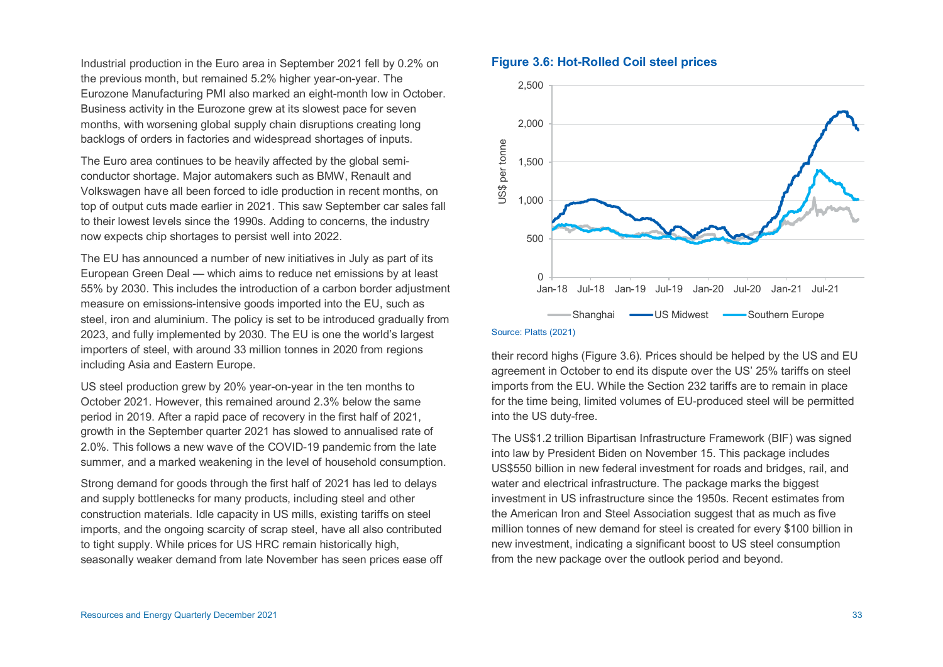Industrial production in the Euro area in September 2021 fell by 0.2% on the previous month, but remained 5.2% higher year-on-year. The Eurozone Manufacturing PMI also marked an eight-month low in October. Business activity in the Eurozone grew at its slowest pace for seven months, with worsening global supply chain disruptions creating long backlogs of orders in factories and widespread shortages of inputs.

The Euro area continues to be heavily affected by the global semiconductor shortage. Major automakers such as BMW, Renault and Volkswagen have all been forced to idle production in recent months, on top of output cuts made earlier in 2021. This saw September car sales fall to their lowest levels since the 1990s. Adding to concerns, the industry now expects chip shortages to persist well into 2022.

The EU has announced a number of new initiatives in July as part of its European Green Deal — which aims to reduce net emissions by at least 55% by 2030. This includes the introduction of a carbon border adjustment measure on emissions-intensive goods imported into the EU, such as steel, iron and aluminium. The policy is set to be introduced gradually from 2023, and fully implemented by 2030. The EU is one the world's largest importers of steel, with around 33 million tonnes in 2020 from regions including Asia and Eastern Europe.

US steel production grew by 20% year-on-year in the ten months to October 2021. However, this remained around 2.3% below the same period in 2019. After a rapid pace of recovery in the first half of 2021, growth in the September quarter 2021 has slowed to annualised rate of 2.0%. This follows a new wave of the COVID-19 pandemic from the late summer, and a marked weakening in the level of household consumption.

Strong demand for goods through the first half of 2021 has led to delays and supply bottlenecks for many products, including steel and other construction materials. Idle capacity in US mills, existing tariffs on steel imports, and the ongoing scarcity of scrap steel, have all also contributed to tight supply. While prices for US HRC remain historically high, seasonally weaker demand from late November has seen prices ease off

# **Figure 3.6: Hot-Rolled Coil steel prices**



their record highs (Figure 3.6). Prices should be helped by the US and EU agreement in October to end its dispute over the US' 25% tariffs on steel imports from the EU. While the Section 232 tariffs are to remain in place for the time being, limited volumes of EU-produced steel will be permitted into the US duty-free.

The US\$1.2 trillion Bipartisan Infrastructure Framework (BIF) was signed into law by President Biden on November 15. This package includes US\$550 billion in new federal investment for roads and bridges, rail, and water and electrical infrastructure. The package marks the biggest investment in US infrastructure since the 1950s. Recent estimates from the American Iron and Steel Association suggest that as much as five million tonnes of new demand for steel is created for every \$100 billion in new investment, indicating a significant boost to US steel consumption from the new package over the outlook period and beyond.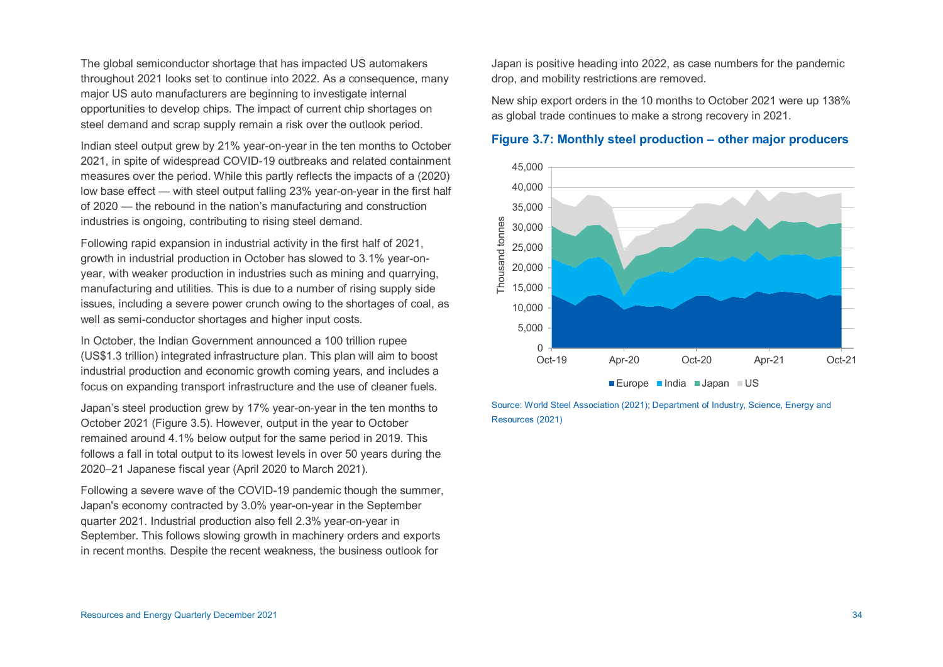The global semiconductor shortage that has impacted US automakers throughout 2021 looks set to continue into 2022. As a consequence, many major US auto manufacturers are beginning to investigate internal opportunities to develop chips. The impact of current chip shortages on steel demand and scrap supply remain a risk over the outlook period.

Indian steel output grew by 21% year-on-year in the ten months to October 2021, in spite of widespread COVID-19 outbreaks and related containment measures over the period. While this partly reflects the impacts of a (2020) low base effect — with steel output falling 23% year-on-year in the first half of 2020 — the rebound in the nation's manufacturing and construction industries is ongoing, contributing to rising steel demand.

Following rapid expansion in industrial activity in the first half of 2021, growth in industrial production in October has slowed to 3.1% year-onyear, with weaker production in industries such as mining and quarrying, manufacturing and utilities. This is due to a number of rising supply side issues, including a severe power crunch owing to the shortages of coal, as well as semi-conductor shortages and higher input costs.

In October, the Indian Government announced a 100 trillion rupee (US\$1.3 trillion) integrated infrastructure plan. This plan will aim to boost industrial production and economic growth coming years, and includes a focus on expanding transport infrastructure and the use of cleaner fuels.

Japan's steel production grew by 17% year-on-year in the ten months to October 2021 (Figure 3.5). However, output in the year to October remained around 4.1% below output for the same period in 2019. This follows a fall in total output to its lowest levels in over 50 years during the 2020–21 Japanese fiscal year (April 2020 to March 2021).

Following a severe wave of the COVID-19 pandemic though the summer, Japan's economy contracted by 3.0% year-on-year in the September quarter 2021. Industrial production also fell 2.3% year-on-year in September. This follows slowing growth in machinery orders and exports in recent months. Despite the recent weakness, the business outlook for

Japan is positive heading into 2022, as case numbers for the pandemic drop, and mobility restrictions are removed.

New ship export orders in the 10 months to October 2021 were up 138% as global trade continues to make a strong recovery in 2021.

# **Figure 3.7: Monthly steel production – other major producers**



Source: World Steel Association (2021); Department of Industry, Science, Energy and Resources (2021)